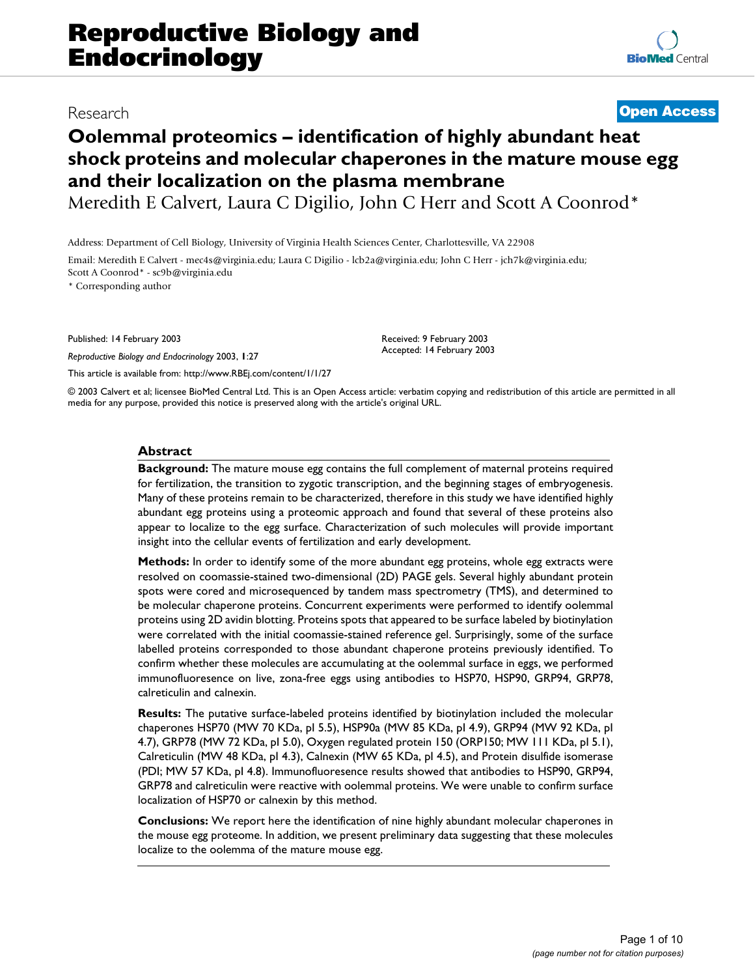# Research **[Open Access](http://www.biomedcentral.com/info/about/charter/)**

# **Oolemmal proteomics – identification of highly abundant heat shock proteins and molecular chaperones in the mature mouse egg and their localization on the plasma membrane**

Meredith E Calvert, Laura C Digilio, John C Herr and Scott A Coonrod\*

Address: Department of Cell Biology, University of Virginia Health Sciences Center, Charlottesville, VA 22908

Email: Meredith E Calvert - mec4s@virginia.edu; Laura C Digilio - lcb2a@virginia.edu; John C Herr - jch7k@virginia.edu; Scott A Coonrod\* - sc9b@virginia.edu

\* Corresponding author

Published: 14 February 2003

*Reproductive Biology and Endocrinology* 2003, **1**:27

[This article is available from: http://www.RBEj.com/content/1/1/27](http://www.RBEj.com/content/1/1/27)

© 2003 Calvert et al; licensee BioMed Central Ltd. This is an Open Access article: verbatim copying and redistribution of this article are permitted in all media for any purpose, provided this notice is preserved along with the article's original URL.

Received: 9 February 2003 Accepted: 14 February 2003

# **Abstract**

**Background:** The mature mouse egg contains the full complement of maternal proteins required for fertilization, the transition to zygotic transcription, and the beginning stages of embryogenesis. Many of these proteins remain to be characterized, therefore in this study we have identified highly abundant egg proteins using a proteomic approach and found that several of these proteins also appear to localize to the egg surface. Characterization of such molecules will provide important insight into the cellular events of fertilization and early development.

**Methods:** In order to identify some of the more abundant egg proteins, whole egg extracts were resolved on coomassie-stained two-dimensional (2D) PAGE gels. Several highly abundant protein spots were cored and microsequenced by tandem mass spectrometry (TMS), and determined to be molecular chaperone proteins. Concurrent experiments were performed to identify oolemmal proteins using 2D avidin blotting. Proteins spots that appeared to be surface labeled by biotinylation were correlated with the initial coomassie-stained reference gel. Surprisingly, some of the surface labelled proteins corresponded to those abundant chaperone proteins previously identified. To confirm whether these molecules are accumulating at the oolemmal surface in eggs, we performed immunofluoresence on live, zona-free eggs using antibodies to HSP70, HSP90, GRP94, GRP78, calreticulin and calnexin.

**Results:** The putative surface-labeled proteins identified by biotinylation included the molecular chaperones HSP70 (MW 70 KDa, pI 5.5), HSP90a (MW 85 KDa, pI 4.9), GRP94 (MW 92 KDa, pI 4.7), GRP78 (MW 72 KDa, pI 5.0), Oxygen regulated protein 150 (ORP150; MW 111 KDa, pI 5.1), Calreticulin (MW 48 KDa, pI 4.3), Calnexin (MW 65 KDa, pI 4.5), and Protein disulfide isomerase (PDI; MW 57 KDa, pI 4.8). Immunofluoresence results showed that antibodies to HSP90, GRP94, GRP78 and calreticulin were reactive with oolemmal proteins. We were unable to confirm surface localization of HSP70 or calnexin by this method.

**Conclusions:** We report here the identification of nine highly abundant molecular chaperones in the mouse egg proteome. In addition, we present preliminary data suggesting that these molecules localize to the oolemma of the mature mouse egg.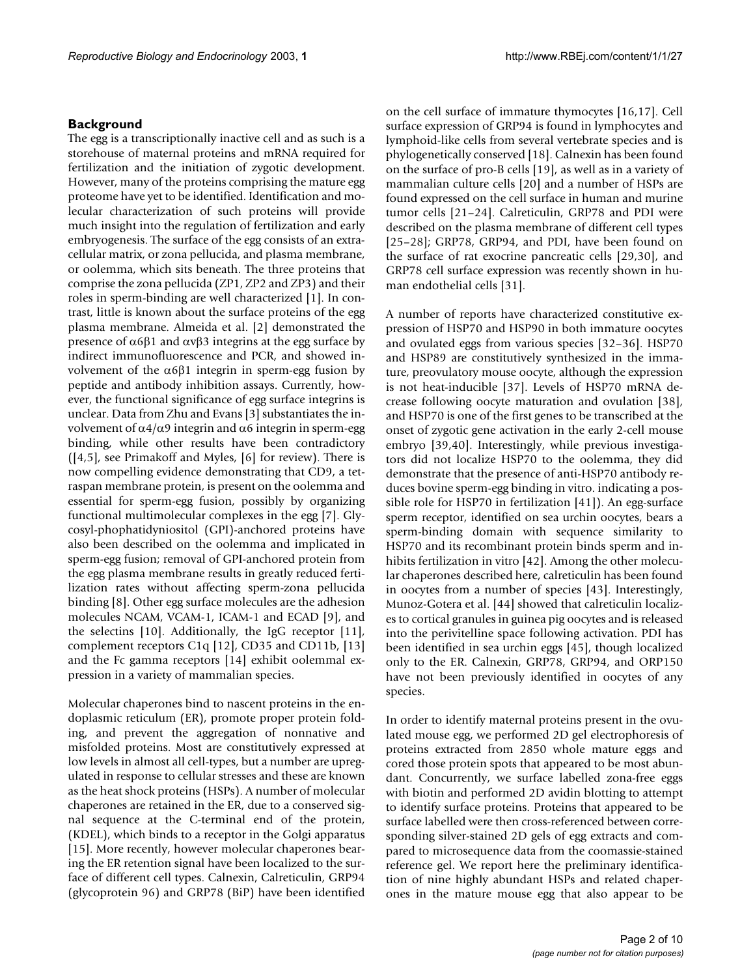# **Background**

The egg is a transcriptionally inactive cell and as such is a storehouse of maternal proteins and mRNA required for fertilization and the initiation of zygotic development. However, many of the proteins comprising the mature egg proteome have yet to be identified. Identification and molecular characterization of such proteins will provide much insight into the regulation of fertilization and early embryogenesis. The surface of the egg consists of an extracellular matrix, or zona pellucida, and plasma membrane, or oolemma, which sits beneath. The three proteins that comprise the zona pellucida (ZP1, ZP2 and ZP3) and their roles in sperm-binding are well characterized [1]. In contrast, little is known about the surface proteins of the egg plasma membrane. Almeida et al. [2] demonstrated the presence of α6β1 and αvβ3 integrins at the egg surface by indirect immunofluorescence and PCR, and showed involvement of the  $α6β1$  integrin in sperm-egg fusion by peptide and antibody inhibition assays. Currently, however, the functional significance of egg surface integrins is unclear. Data from Zhu and Evans [3] substantiates the involvement of  $\alpha$ 4/ $\alpha$ 9 integrin and α6 integrin in sperm-egg binding, while other results have been contradictory ([4,5], see Primakoff and Myles, [6] for review). There is now compelling evidence demonstrating that CD9, a tetraspan membrane protein, is present on the oolemma and essential for sperm-egg fusion, possibly by organizing functional multimolecular complexes in the egg [7]. Glycosyl-phophatidyniositol (GPI)-anchored proteins have also been described on the oolemma and implicated in sperm-egg fusion; removal of GPI-anchored protein from the egg plasma membrane results in greatly reduced fertilization rates without affecting sperm-zona pellucida binding [8]. Other egg surface molecules are the adhesion molecules NCAM, VCAM-1, ICAM-1 and ECAD [9], and the selectins [10]. Additionally, the IgG receptor [11], complement receptors C1q [12], CD35 and CD11b, [13] and the Fc gamma receptors [14] exhibit oolemmal expression in a variety of mammalian species.

Molecular chaperones bind to nascent proteins in the endoplasmic reticulum (ER), promote proper protein folding, and prevent the aggregation of nonnative and misfolded proteins. Most are constitutively expressed at low levels in almost all cell-types, but a number are upregulated in response to cellular stresses and these are known as the heat shock proteins (HSPs). A number of molecular chaperones are retained in the ER, due to a conserved signal sequence at the C-terminal end of the protein, (KDEL), which binds to a receptor in the Golgi apparatus [15]. More recently, however molecular chaperones bearing the ER retention signal have been localized to the surface of different cell types. Calnexin, Calreticulin, GRP94 (glycoprotein 96) and GRP78 (BiP) have been identified on the cell surface of immature thymocytes [16,17]. Cell surface expression of GRP94 is found in lymphocytes and lymphoid-like cells from several vertebrate species and is phylogenetically conserved [18]. Calnexin has been found on the surface of pro-B cells [19], as well as in a variety of mammalian culture cells [20] and a number of HSPs are found expressed on the cell surface in human and murine tumor cells [21–24]. Calreticulin, GRP78 and PDI were described on the plasma membrane of different cell types [25–28]; GRP78, GRP94, and PDI, have been found on the surface of rat exocrine pancreatic cells [29,30], and GRP78 cell surface expression was recently shown in human endothelial cells [31].

A number of reports have characterized constitutive expression of HSP70 and HSP90 in both immature oocytes and ovulated eggs from various species [32–36]. HSP70 and HSP89 are constitutively synthesized in the immature, preovulatory mouse oocyte, although the expression is not heat-inducible [37]. Levels of HSP70 mRNA decrease following oocyte maturation and ovulation [38], and HSP70 is one of the first genes to be transcribed at the onset of zygotic gene activation in the early 2-cell mouse embryo [39,40]. Interestingly, while previous investigators did not localize HSP70 to the oolemma, they did demonstrate that the presence of anti-HSP70 antibody reduces bovine sperm-egg binding in vitro. indicating a possible role for HSP70 in fertilization [41]). An egg-surface sperm receptor, identified on sea urchin oocytes, bears a sperm-binding domain with sequence similarity to HSP70 and its recombinant protein binds sperm and inhibits fertilization in vitro [42]. Among the other molecular chaperones described here, calreticulin has been found in oocytes from a number of species [43]. Interestingly, Munoz-Gotera et al. [44] showed that calreticulin localizes to cortical granules in guinea pig oocytes and is released into the perivitelline space following activation. PDI has been identified in sea urchin eggs [45], though localized only to the ER. Calnexin, GRP78, GRP94, and ORP150 have not been previously identified in oocytes of any species.

In order to identify maternal proteins present in the ovulated mouse egg, we performed 2D gel electrophoresis of proteins extracted from 2850 whole mature eggs and cored those protein spots that appeared to be most abundant. Concurrently, we surface labelled zona-free eggs with biotin and performed 2D avidin blotting to attempt to identify surface proteins. Proteins that appeared to be surface labelled were then cross-referenced between corresponding silver-stained 2D gels of egg extracts and compared to microsequence data from the coomassie-stained reference gel. We report here the preliminary identification of nine highly abundant HSPs and related chaperones in the mature mouse egg that also appear to be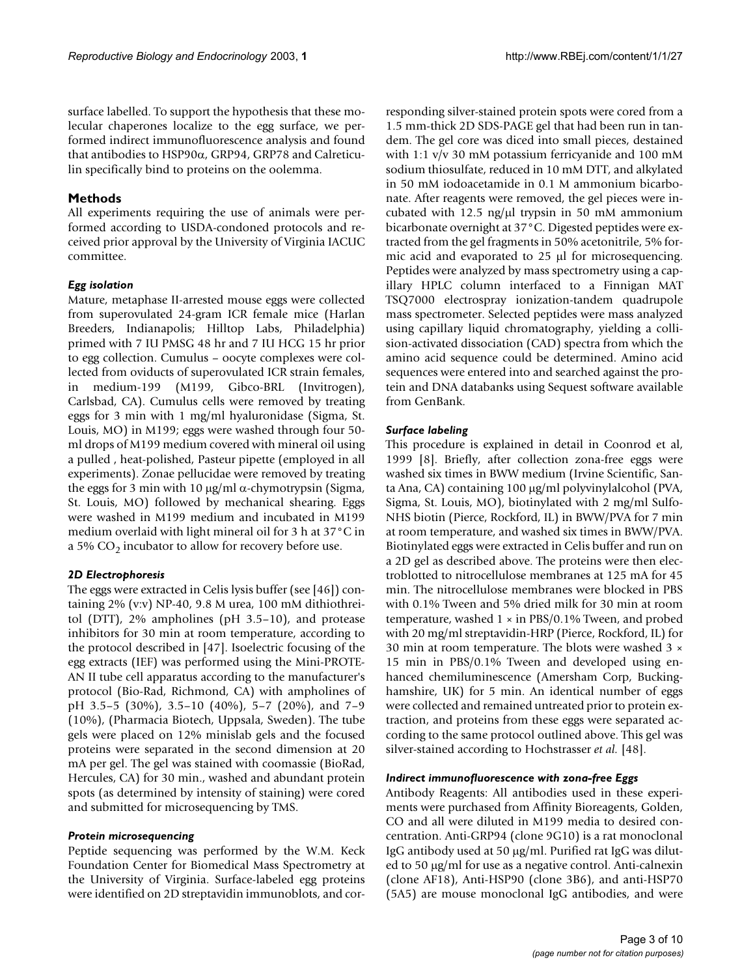surface labelled. To support the hypothesis that these molecular chaperones localize to the egg surface, we performed indirect immunofluorescence analysis and found that antibodies to HSP90α, GRP94, GRP78 and Calreticulin specifically bind to proteins on the oolemma.

# **Methods**

All experiments requiring the use of animals were performed according to USDA-condoned protocols and received prior approval by the University of Virginia IACUC committee.

#### *Egg isolation*

Mature, metaphase II-arrested mouse eggs were collected from superovulated 24-gram ICR female mice (Harlan Breeders, Indianapolis; Hilltop Labs, Philadelphia) primed with 7 IU PMSG 48 hr and 7 IU HCG 15 hr prior to egg collection. Cumulus – oocyte complexes were collected from oviducts of superovulated ICR strain females, medium-199 (M199, Gibco-BRL (Invitrogen), Carlsbad, CA). Cumulus cells were removed by treating eggs for 3 min with 1 mg/ml hyaluronidase (Sigma, St. Louis, MO) in M199; eggs were washed through four 50 ml drops of M199 medium covered with mineral oil using a pulled , heat-polished, Pasteur pipette (employed in all experiments). Zonae pellucidae were removed by treating the eggs for 3 min with 10  $\mu$ g/ml α-chymotrypsin (Sigma, St. Louis, MO) followed by mechanical shearing. Eggs were washed in M199 medium and incubated in M199 medium overlaid with light mineral oil for 3 h at 37°C in a 5%  $CO<sub>2</sub>$  incubator to allow for recovery before use.

#### *2D Electrophoresis*

The eggs were extracted in Celis lysis buffer (see [46]) containing 2% (v:v) NP-40, 9.8 M urea, 100 mM dithiothreitol (DTT), 2% ampholines (pH 3.5–10), and protease inhibitors for 30 min at room temperature, according to the protocol described in [47]. Isoelectric focusing of the egg extracts (IEF) was performed using the Mini-PROTE-AN II tube cell apparatus according to the manufacturer's protocol (Bio-Rad, Richmond, CA) with ampholines of pH 3.5–5 (30%), 3.5–10 (40%), 5–7 (20%), and 7–9 (10%), (Pharmacia Biotech, Uppsala, Sweden). The tube gels were placed on 12% minislab gels and the focused proteins were separated in the second dimension at 20 mA per gel. The gel was stained with coomassie (BioRad, Hercules, CA) for 30 min., washed and abundant protein spots (as determined by intensity of staining) were cored and submitted for microsequencing by TMS.

#### *Protein microsequencing*

Peptide sequencing was performed by the W.M. Keck Foundation Center for Biomedical Mass Spectrometry at the University of Virginia. Surface-labeled egg proteins were identified on 2D streptavidin immunoblots, and corresponding silver-stained protein spots were cored from a 1.5 mm-thick 2D SDS-PAGE gel that had been run in tandem. The gel core was diced into small pieces, destained with 1:1 v/v 30 mM potassium ferricyanide and 100 mM sodium thiosulfate, reduced in 10 mM DTT, and alkylated in 50 mM iodoacetamide in 0.1 M ammonium bicarbonate. After reagents were removed, the gel pieces were incubated with 12.5 ng/ $\mu$ l trypsin in 50 mM ammonium bicarbonate overnight at 37°C. Digested peptides were extracted from the gel fragments in 50% acetonitrile, 5% formic acid and evaporated to 25 µl for microsequencing. Peptides were analyzed by mass spectrometry using a capillary HPLC column interfaced to a Finnigan MAT TSQ7000 electrospray ionization-tandem quadrupole mass spectrometer. Selected peptides were mass analyzed using capillary liquid chromatography, yielding a collision-activated dissociation (CAD) spectra from which the amino acid sequence could be determined. Amino acid sequences were entered into and searched against the protein and DNA databanks using Sequest software available from GenBank.

#### *Surface labeling*

This procedure is explained in detail in Coonrod et al, 1999 [8]. Briefly, after collection zona-free eggs were washed six times in BWW medium (Irvine Scientific, Santa Ana, CA) containing 100 µg/ml polyvinylalcohol (PVA, Sigma, St. Louis, MO), biotinylated with 2 mg/ml Sulfo-NHS biotin (Pierce, Rockford, IL) in BWW/PVA for 7 min at room temperature, and washed six times in BWW/PVA. Biotinylated eggs were extracted in Celis buffer and run on a 2D gel as described above. The proteins were then electroblotted to nitrocellulose membranes at 125 mA for 45 min. The nitrocellulose membranes were blocked in PBS with 0.1% Tween and 5% dried milk for 30 min at room temperature, washed  $1 \times$  in PBS/0.1% Tween, and probed with 20 mg/ml streptavidin-HRP (Pierce, Rockford, IL) for 30 min at room temperature. The blots were washed 3 × 15 min in PBS/0.1% Tween and developed using enhanced chemiluminescence (Amersham Corp, Buckinghamshire, UK) for 5 min. An identical number of eggs were collected and remained untreated prior to protein extraction, and proteins from these eggs were separated according to the same protocol outlined above. This gel was silver-stained according to Hochstrasser *et al.* [48].

#### *Indirect immunofluorescence with zona-free Eggs*

Antibody Reagents: All antibodies used in these experiments were purchased from Affinity Bioreagents, Golden, CO and all were diluted in M199 media to desired concentration. Anti-GRP94 (clone 9G10) is a rat monoclonal IgG antibody used at 50 µg/ml. Purified rat IgG was diluted to 50 µg/ml for use as a negative control. Anti-calnexin (clone AF18), Anti-HSP90 (clone 3B6), and anti-HSP70 (5A5) are mouse monoclonal IgG antibodies, and were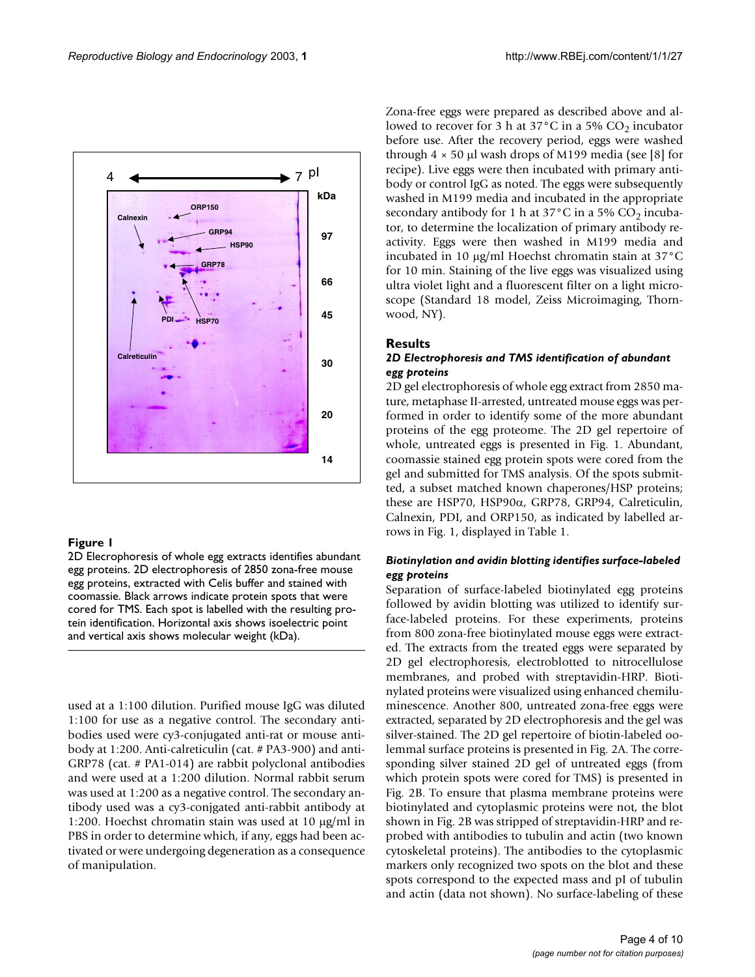

# **Figure 1**

2D Elecrophoresis of whole egg extracts identifies abundant egg proteins. 2D electrophoresis of 2850 zona-free mouse egg proteins, extracted with Celis buffer and stained with coomassie. Black arrows indicate protein spots that were cored for TMS. Each spot is labelled with the resulting protein identification. Horizontal axis shows isoelectric point and vertical axis shows molecular weight (kDa).

used at a 1:100 dilution. Purified mouse IgG was diluted 1:100 for use as a negative control. The secondary antibodies used were cy3-conjugated anti-rat or mouse antibody at 1:200. Anti-calreticulin (cat. # PA3-900) and anti-GRP78 (cat. # PA1-014) are rabbit polyclonal antibodies and were used at a 1:200 dilution. Normal rabbit serum was used at 1:200 as a negative control. The secondary antibody used was a cy3-conjgated anti-rabbit antibody at 1:200. Hoechst chromatin stain was used at 10 µg/ml in PBS in order to determine which, if any, eggs had been activated or were undergoing degeneration as a consequence of manipulation.

Zona-free eggs were prepared as described above and allowed to recover for 3 h at 37 $\degree$ C in a 5% CO<sub>2</sub> incubator before use. After the recovery period, eggs were washed through  $4 \times 50$  µl wash drops of M199 media (see [8] for recipe). Live eggs were then incubated with primary antibody or control IgG as noted. The eggs were subsequently washed in M199 media and incubated in the appropriate secondary antibody for 1 h at  $37^{\circ}$ C in a 5% CO<sub>2</sub> incubator, to determine the localization of primary antibody reactivity. Eggs were then washed in M199 media and incubated in 10 µg/ml Hoechst chromatin stain at 37°C for 10 min. Staining of the live eggs was visualized using ultra violet light and a fluorescent filter on a light microscope (Standard 18 model, Zeiss Microimaging, Thornwood, NY).

# **Results**

# *2D Electrophoresis and TMS identification of abundant egg proteins*

2D gel electrophoresis of whole egg extract from 2850 mature, metaphase II-arrested, untreated mouse eggs was performed in order to identify some of the more abundant proteins of the egg proteome. The 2D gel repertoire of whole, untreated eggs is presented in Fig. 1. Abundant, coomassie stained egg protein spots were cored from the gel and submitted for TMS analysis. Of the spots submitted, a subset matched known chaperones/HSP proteins; these are HSP70, HSP90α, GRP78, GRP94, Calreticulin, Calnexin, PDI, and ORP150, as indicated by labelled arrows in Fig. 1, displayed in Table [1](#page-4-0).

# *Biotinylation and avidin blotting identifies surface-labeled egg proteins*

Separation of surface-labeled biotinylated egg proteins followed by avidin blotting was utilized to identify surface-labeled proteins. For these experiments, proteins from 800 zona-free biotinylated mouse eggs were extracted. The extracts from the treated eggs were separated by 2D gel electrophoresis, electroblotted to nitrocellulose membranes, and probed with streptavidin-HRP. Biotinylated proteins were visualized using enhanced chemiluminescence. Another 800, untreated zona-free eggs were extracted, separated by 2D electrophoresis and the gel was silver-stained. The 2D gel repertoire of biotin-labeled oolemmal surface proteins is presented in Fig. 2A. The corresponding silver stained 2D gel of untreated eggs (from which protein spots were cored for TMS) is presented in Fig. 2B. To ensure that plasma membrane proteins were biotinylated and cytoplasmic proteins were not, the blot shown in Fig. 2B was stripped of streptavidin-HRP and reprobed with antibodies to tubulin and actin (two known cytoskeletal proteins). The antibodies to the cytoplasmic markers only recognized two spots on the blot and these spots correspond to the expected mass and pI of tubulin and actin (data not shown). No surface-labeling of these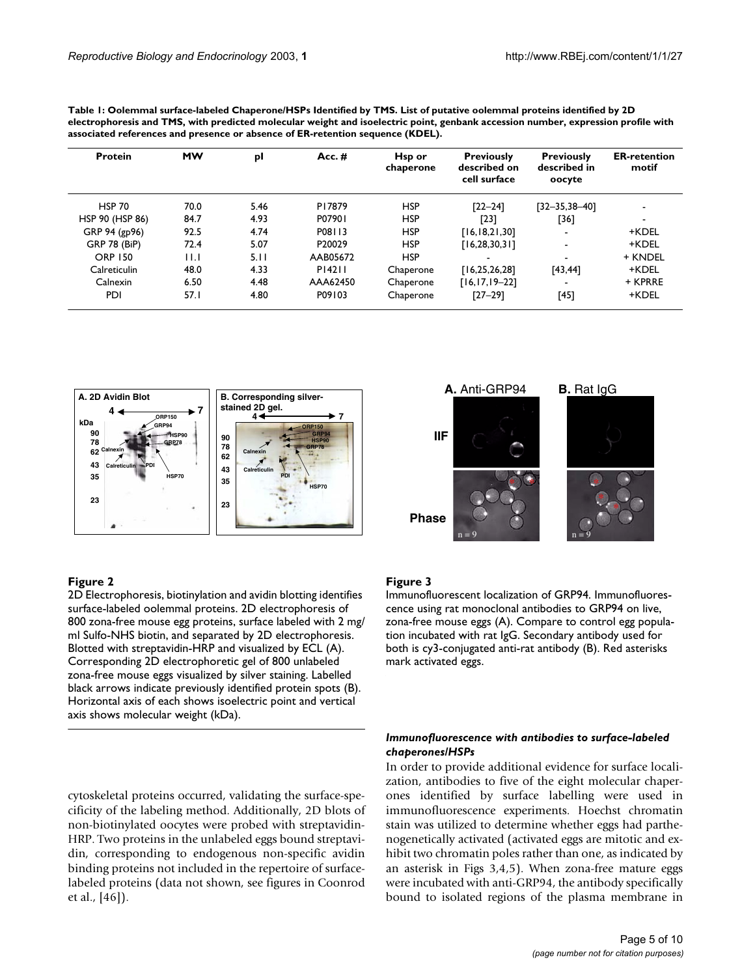| <b>Protein</b>      | <b>MW</b> | рI   | Acc. #   | Hsp or<br>chaperone | <b>Previously</b><br>described on<br>cell surface | <b>Previously</b><br>described in<br>oocyte | <b>ER-retention</b><br>motif |
|---------------------|-----------|------|----------|---------------------|---------------------------------------------------|---------------------------------------------|------------------------------|
| <b>HSP 70</b>       | 70.0      | 5.46 | P17879   | <b>HSP</b>          | $[22 - 24]$                                       | $[32 - 35, 38 - 40]$                        |                              |
| HSP 90 (HSP 86)     | 84.7      | 4.93 | P07901   | <b>HSP</b>          | [23]                                              | [36]                                        |                              |
| GRP 94 (gp96)       | 92.5      | 4.74 | P08113   | <b>HSP</b>          | [16, 18, 21, 30]                                  |                                             | +KDEL                        |
| <b>GRP 78 (BiP)</b> | 72.4      | 5.07 | P20029   | <b>HSP</b>          | [16, 28, 30, 31]                                  | $\overline{\phantom{a}}$                    | +KDEL                        |
| <b>ORP 150</b>      | 11.1      | 5.11 | AAB05672 | <b>HSP</b>          |                                                   |                                             | + KNDEL                      |
| Calreticulin        | 48.0      | 4.33 | P14211   | Chaperone           | [16, 25, 26, 28]                                  | [43, 44]                                    | +KDEL                        |
| Calnexin            | 6.50      | 4.48 | AAA62450 | Chaperone           | $[16, 17, 19 - 22]$                               |                                             | + KPRRE                      |
| <b>PDI</b>          | 57.1      | 4.80 | P09103   | Chaperone           | $[27 - 29]$                                       | [45]                                        | +KDEL                        |

<span id="page-4-0"></span>**Table 1: Oolemmal surface-labeled Chaperone/HSPs Identified by TMS. List of putative oolemmal proteins identified by 2D electrophoresis and TMS, with predicted molecular weight and isoelectric point, genbank accession number, expression profile with** 



### **Figure 2**

2D Electrophoresis, biotinylation and avidin blotting identifies surface-labeled oolemmal proteins. 2D electrophoresis of 800 zona-free mouse egg proteins, surface labeled with 2 mg/ ml Sulfo-NHS biotin, and separated by 2D electrophoresis. Blotted with streptavidin-HRP and visualized by ECL (A). Corresponding 2D electrophoretic gel of 800 unlabeled zona-free mouse eggs visualized by silver staining. Labelled black arrows indicate previously identified protein spots (B). Horizontal axis of each shows isoelectric point and vertical axis shows molecular weight (kDa).

cytoskeletal proteins occurred, validating the surface-specificity of the labeling method. Additionally, 2D blots of non-biotinylated oocytes were probed with streptavidin-HRP. Two proteins in the unlabeled eggs bound streptavidin, corresponding to endogenous non-specific avidin binding proteins not included in the repertoire of surfacelabeled proteins (data not shown, see figures in Coonrod et al., [46]).



#### **Figure 3**

Immunofluorescent localization of GRP94. Immunofluorescence using rat monoclonal antibodies to GRP94 on live, zona-free mouse eggs (A). Compare to control egg population incubated with rat IgG. Secondary antibody used for both is cy3-conjugated anti-rat antibody (B). Red asterisks mark activated eggs.

# *Immunofluorescence with antibodies to surface-labeled chaperones/HSPs*

In order to provide additional evidence for surface localization, antibodies to five of the eight molecular chaperones identified by surface labelling were used in immunofluorescence experiments. Hoechst chromatin stain was utilized to determine whether eggs had parthenogenetically activated (activated eggs are mitotic and exhibit two chromatin poles rather than one, as indicated by an asterisk in Figs 3,4,5). When zona-free mature eggs were incubated with anti-GRP94, the antibody specifically bound to isolated regions of the plasma membrane in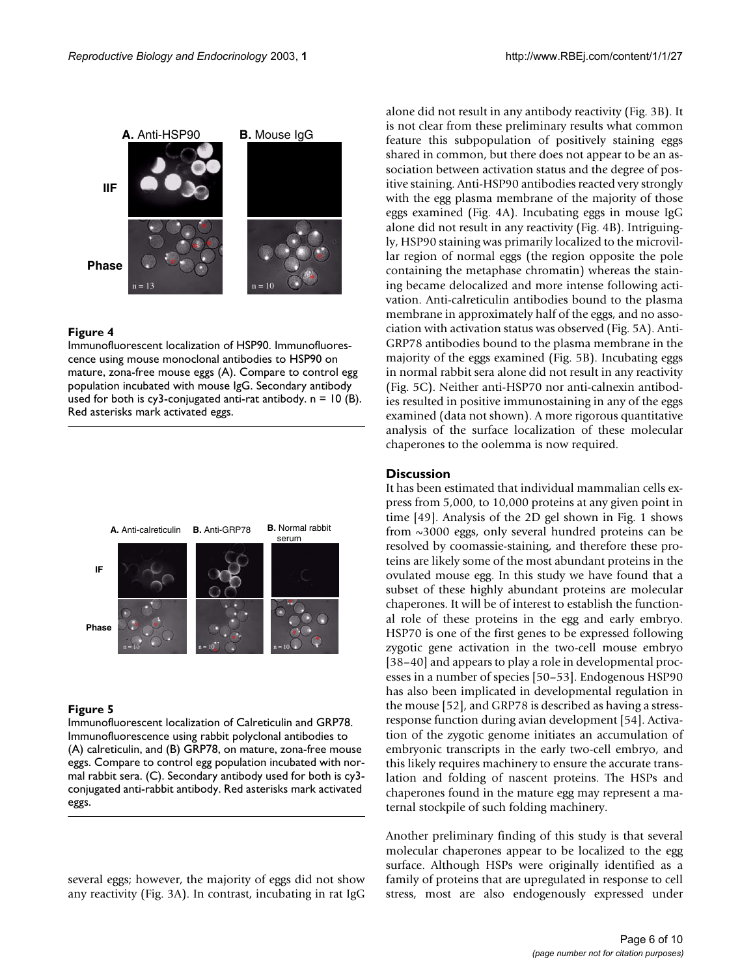

# **Figure 4**

Immunofluorescent localization of HSP90. Immunofluorescence using mouse monoclonal antibodies to HSP90 on mature, zona-free mouse eggs (A). Compare to control egg population incubated with mouse IgG. Secondary antibody used for both is cy3-conjugated anti-rat antibody.  $n = 10$  (B). Red asterisks mark activated eggs.



#### **Figure 5**

Immunofluorescent localization of Calreticulin and GRP78. Immunofluorescence using rabbit polyclonal antibodies to (A) calreticulin, and (B) GRP78, on mature, zona-free mouse eggs. Compare to control egg population incubated with normal rabbit sera. (C). Secondary antibody used for both is cy3 conjugated anti-rabbit antibody. Red asterisks mark activated eggs.

several eggs; however, the majority of eggs did not show any reactivity (Fig. 3A). In contrast, incubating in rat IgG alone did not result in any antibody reactivity (Fig. 3B). It is not clear from these preliminary results what common feature this subpopulation of positively staining eggs shared in common, but there does not appear to be an association between activation status and the degree of positive staining. Anti-HSP90 antibodies reacted very strongly with the egg plasma membrane of the majority of those eggs examined (Fig. 4A). Incubating eggs in mouse IgG alone did not result in any reactivity (Fig. 4B). Intriguingly, HSP90 staining was primarily localized to the microvillar region of normal eggs (the region opposite the pole containing the metaphase chromatin) whereas the staining became delocalized and more intense following activation. Anti-calreticulin antibodies bound to the plasma membrane in approximately half of the eggs, and no association with activation status was observed (Fig. 5A). Anti-GRP78 antibodies bound to the plasma membrane in the majority of the eggs examined (Fig. 5B). Incubating eggs in normal rabbit sera alone did not result in any reactivity (Fig. 5C). Neither anti-HSP70 nor anti-calnexin antibodies resulted in positive immunostaining in any of the eggs examined (data not shown). A more rigorous quantitative analysis of the surface localization of these molecular chaperones to the oolemma is now required.

# **Discussion**

It has been estimated that individual mammalian cells express from 5,000, to 10,000 proteins at any given point in time [49]. Analysis of the 2D gel shown in Fig. 1 shows from ~3000 eggs, only several hundred proteins can be resolved by coomassie-staining, and therefore these proteins are likely some of the most abundant proteins in the ovulated mouse egg. In this study we have found that a subset of these highly abundant proteins are molecular chaperones. It will be of interest to establish the functional role of these proteins in the egg and early embryo. HSP70 is one of the first genes to be expressed following zygotic gene activation in the two-cell mouse embryo [38–40] and appears to play a role in developmental processes in a number of species [50–53]. Endogenous HSP90 has also been implicated in developmental regulation in the mouse [52], and GRP78 is described as having a stressresponse function during avian development [54]. Activation of the zygotic genome initiates an accumulation of embryonic transcripts in the early two-cell embryo, and this likely requires machinery to ensure the accurate translation and folding of nascent proteins. The HSPs and chaperones found in the mature egg may represent a maternal stockpile of such folding machinery.

Another preliminary finding of this study is that several molecular chaperones appear to be localized to the egg surface. Although HSPs were originally identified as a family of proteins that are upregulated in response to cell stress, most are also endogenously expressed under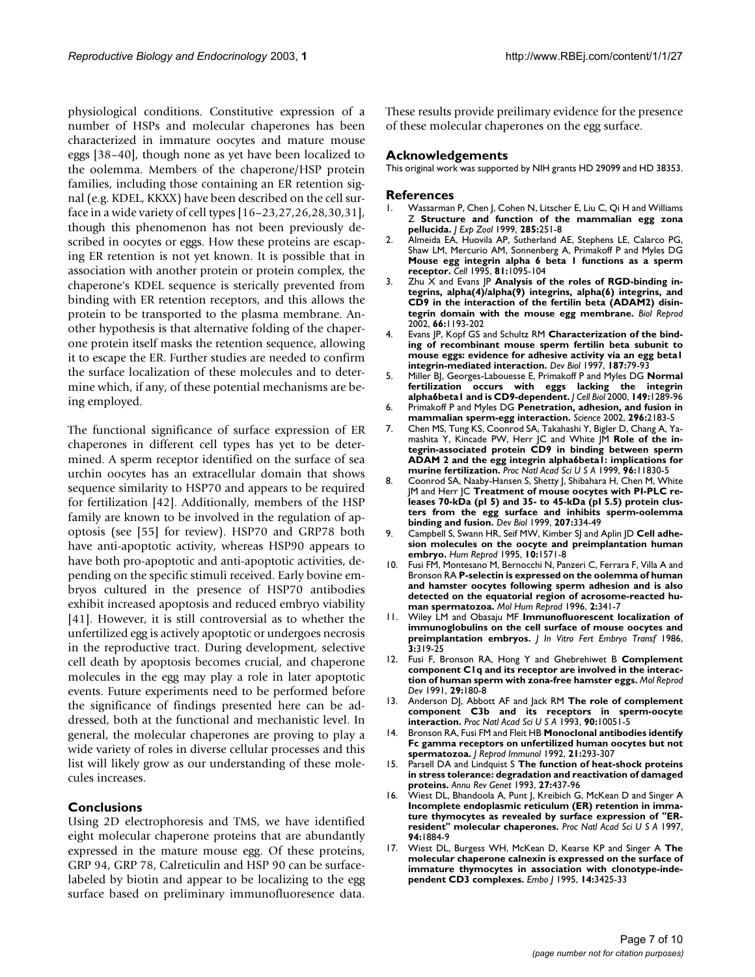physiological conditions. Constitutive expression of a number of HSPs and molecular chaperones has been characterized in immature oocytes and mature mouse eggs [38–40], though none as yet have been localized to the oolemma. Members of the chaperone/HSP protein families, including those containing an ER retention signal (e.g. KDEL, KKXX) have been described on the cell surface in a wide variety of cell types [16–23,27,26,28,30,31], though this phenomenon has not been previously described in oocytes or eggs. How these proteins are escaping ER retention is not yet known. It is possible that in association with another protein or protein complex, the chaperone's KDEL sequence is sterically prevented from binding with ER retention receptors, and this allows the protein to be transported to the plasma membrane. Another hypothesis is that alternative folding of the chaperone protein itself masks the retention sequence, allowing it to escape the ER. Further studies are needed to confirm the surface localization of these molecules and to determine which, if any, of these potential mechanisms are being employed.

The functional significance of surface expression of ER chaperones in different cell types has yet to be determined. A sperm receptor identified on the surface of sea urchin oocytes has an extracellular domain that shows sequence similarity to HSP70 and appears to be required for fertilization [42]. Additionally, members of the HSP family are known to be involved in the regulation of apoptosis (see [55] for review). HSP70 and GRP78 both have anti-apoptotic activity, whereas HSP90 appears to have both pro-apoptotic and anti-apoptotic activities, depending on the specific stimuli received. Early bovine embryos cultured in the presence of HSP70 antibodies exhibit increased apoptosis and reduced embryo viability [41]. However, it is still controversial as to whether the unfertilized egg is actively apoptotic or undergoes necrosis in the reproductive tract. During development, selective cell death by apoptosis becomes crucial, and chaperone molecules in the egg may play a role in later apoptotic events. Future experiments need to be performed before the significance of findings presented here can be addressed, both at the functional and mechanistic level. In general, the molecular chaperones are proving to play a wide variety of roles in diverse cellular processes and this list will likely grow as our understanding of these molecules increases.

# **Conclusions**

Using 2D electrophoresis and TMS, we have identified eight molecular chaperone proteins that are abundantly expressed in the mature mouse egg. Of these proteins, GRP 94, GRP 78, Calreticulin and HSP 90 can be surfacelabeled by biotin and appear to be localizing to the egg surface based on preliminary immunofluoresence data.

These results provide preilimary evidence for the presence of these molecular chaperones on the egg surface.

#### **Acknowledgements**

This original work was supported by NIH grants HD 29099 and HD 38353.

#### **References**

- 1. Wassarman P, Chen J, Cohen N, Litscher E, Liu C, Qi H and Williams Z **[Structure and function of the mammalian egg zona](http://www.ncbi.nlm.nih.gov/entrez/query.fcgi?cmd=Retrieve&db=PubMed&dopt=Abstract&list_uids=10497324) [pellucida.](http://www.ncbi.nlm.nih.gov/entrez/query.fcgi?cmd=Retrieve&db=PubMed&dopt=Abstract&list_uids=10497324)** *J Exp Zool* 1999, **285:**251-8
- 2. Almeida EA, Huovila AP, Sutherland AE, Stephens LE, Calarco PG, Shaw LM, Mercurio AM, Sonnenberg A, Primakoff P and Myles DG **[Mouse egg integrin alpha 6 beta 1 functions as a sperm](http://www.ncbi.nlm.nih.gov/entrez/query.fcgi?cmd=Retrieve&db=PubMed&dopt=Abstract&list_uids=7600577) [receptor.](http://www.ncbi.nlm.nih.gov/entrez/query.fcgi?cmd=Retrieve&db=PubMed&dopt=Abstract&list_uids=7600577)** *Cell* 1995, **81:**1095-104
- 3. Zhu X and Evans JP **[Analysis of the roles of RGD-binding in](http://www.ncbi.nlm.nih.gov/entrez/query.fcgi?cmd=Retrieve&db=PubMed&dopt=Abstract&list_uids=11906941)tegrins, alpha(4)/alpha(9) integrins, alpha(6) integrins, and [CD9 in the interaction of the fertilin beta \(ADAM2\) disin](http://www.ncbi.nlm.nih.gov/entrez/query.fcgi?cmd=Retrieve&db=PubMed&dopt=Abstract&list_uids=11906941)[tegrin domain with the mouse egg membrane.](http://www.ncbi.nlm.nih.gov/entrez/query.fcgi?cmd=Retrieve&db=PubMed&dopt=Abstract&list_uids=11906941)** *Biol Reprod* 2002, **66:**1193-202
- 4. Evans JP, Kopf GS and Schultz RM **[Characterization of the bind](http://www.ncbi.nlm.nih.gov/entrez/query.fcgi?cmd=Retrieve&db=PubMed&dopt=Abstract&list_uids=9224676)[ing of recombinant mouse sperm fertilin beta subunit to](http://www.ncbi.nlm.nih.gov/entrez/query.fcgi?cmd=Retrieve&db=PubMed&dopt=Abstract&list_uids=9224676) mouse eggs: evidence for adhesive activity via an egg beta1 [integrin-mediated interaction.](http://www.ncbi.nlm.nih.gov/entrez/query.fcgi?cmd=Retrieve&db=PubMed&dopt=Abstract&list_uids=9224676)** Dev Biol 1997, 187:79-93
- 5. Miller BJ, Georges-Labouesse E, Primakoff P and Myles DG **[Normal](http://www.ncbi.nlm.nih.gov/entrez/query.fcgi?cmd=Retrieve&db=PubMed&dopt=Abstract&list_uids=10851025) [fertilization occurs with eggs lacking the integrin](http://www.ncbi.nlm.nih.gov/entrez/query.fcgi?cmd=Retrieve&db=PubMed&dopt=Abstract&list_uids=10851025) [alpha6beta1 and is CD9-dependent.](http://www.ncbi.nlm.nih.gov/entrez/query.fcgi?cmd=Retrieve&db=PubMed&dopt=Abstract&list_uids=10851025)** *J Cell Biol* 2000, **149:**1289-96
- 6. Primakoff P and Myles DG **[Penetration, adhesion, and fusion in](http://www.ncbi.nlm.nih.gov/entrez/query.fcgi?cmd=Retrieve&db=PubMed&dopt=Abstract&list_uids=12077404) [mammalian sperm-egg interaction.](http://www.ncbi.nlm.nih.gov/entrez/query.fcgi?cmd=Retrieve&db=PubMed&dopt=Abstract&list_uids=12077404)** *Science* 2002, **296:**2183-5
- 7. Chen MS, Tung KS, Coonrod SA, Takahashi Y, Bigler D, Chang A, Yamashita Y, Kincade PW, Herr JC and White JM **[Role of the in](http://www.ncbi.nlm.nih.gov/entrez/query.fcgi?cmd=Retrieve&db=PubMed&dopt=Abstract&list_uids=10518536)[tegrin-associated protein CD9 in binding between sperm](http://www.ncbi.nlm.nih.gov/entrez/query.fcgi?cmd=Retrieve&db=PubMed&dopt=Abstract&list_uids=10518536) ADAM 2 and the egg integrin alpha6beta1: implications for [murine fertilization.](http://www.ncbi.nlm.nih.gov/entrez/query.fcgi?cmd=Retrieve&db=PubMed&dopt=Abstract&list_uids=10518536)** *Proc Natl Acad Sci U S A* 1999, **96:**11830-5
- 8. Coonrod SA, Naaby-Hansen S, Shetty J, Shibahara H, Chen M, White JM and Herr JC **[Treatment of mouse oocytes with PI-PLC re](http://www.ncbi.nlm.nih.gov/entrez/query.fcgi?cmd=Retrieve&db=PubMed&dopt=Abstract&list_uids=10068467)**leases 70-kDa (pl 5) and 35- to 45-kDa (pl 5.5) protein clus**[ters from the egg surface and inhibits sperm-oolemma](http://www.ncbi.nlm.nih.gov/entrez/query.fcgi?cmd=Retrieve&db=PubMed&dopt=Abstract&list_uids=10068467) [binding and fusion.](http://www.ncbi.nlm.nih.gov/entrez/query.fcgi?cmd=Retrieve&db=PubMed&dopt=Abstract&list_uids=10068467)** *Dev Biol* 1999, **207:**334-49
- 9. Campbell S, Swann HR, Seif MW, Kimber SJ and Aplin JD **[Cell adhe](http://www.ncbi.nlm.nih.gov/entrez/query.fcgi?cmd=Retrieve&db=PubMed&dopt=Abstract&list_uids=7593541)[sion molecules on the oocyte and preimplantation human](http://www.ncbi.nlm.nih.gov/entrez/query.fcgi?cmd=Retrieve&db=PubMed&dopt=Abstract&list_uids=7593541) [embryo.](http://www.ncbi.nlm.nih.gov/entrez/query.fcgi?cmd=Retrieve&db=PubMed&dopt=Abstract&list_uids=7593541)** *Hum Reprod* 1995, **10:**1571-8
- 10. Fusi FM, Montesano M, Bernocchi N, Panzeri C, Ferrara F, Villa A and Bronson RA **[P-selectin is expressed on the oolemma of human](http://www.ncbi.nlm.nih.gov/entrez/query.fcgi?cmd=Retrieve&db=PubMed&dopt=Abstract&list_uids=9238701) and hamster oocytes following sperm adhesion and is also [detected on the equatorial region of acrosome-reacted hu](http://www.ncbi.nlm.nih.gov/entrez/query.fcgi?cmd=Retrieve&db=PubMed&dopt=Abstract&list_uids=9238701)[man spermatozoa.](http://www.ncbi.nlm.nih.gov/entrez/query.fcgi?cmd=Retrieve&db=PubMed&dopt=Abstract&list_uids=9238701)** *Mol Hum Reprod* 1996, **2:**341-7
- 11. Wiley LM and Obasaju MF **[Immunofluorescent localization of](http://www.ncbi.nlm.nih.gov/entrez/query.fcgi?cmd=Retrieve&db=PubMed&dopt=Abstract&list_uids=3537172) [immunoglobulins on the cell surface of mouse oocytes and](http://www.ncbi.nlm.nih.gov/entrez/query.fcgi?cmd=Retrieve&db=PubMed&dopt=Abstract&list_uids=3537172) [preimplantation embryos.](http://www.ncbi.nlm.nih.gov/entrez/query.fcgi?cmd=Retrieve&db=PubMed&dopt=Abstract&list_uids=3537172)** *J In Vitro Fert Embryo Transf* 1986, **3:**319-25
- 12. Fusi F, Bronson RA, Hong Y and Ghebrehiwet B **[Complement](http://www.ncbi.nlm.nih.gov/entrez/query.fcgi?cmd=Retrieve&db=PubMed&dopt=Abstract&list_uids=1878225) [component C1q and its receptor are involved in the interac](http://www.ncbi.nlm.nih.gov/entrez/query.fcgi?cmd=Retrieve&db=PubMed&dopt=Abstract&list_uids=1878225)[tion of human sperm with zona-free hamster eggs.](http://www.ncbi.nlm.nih.gov/entrez/query.fcgi?cmd=Retrieve&db=PubMed&dopt=Abstract&list_uids=1878225)** *Mol Reprod Dev* 1991, **29:**180-8
- 13. Anderson DJ, Abbott AF and Jack RM **[The role of complement](http://www.ncbi.nlm.nih.gov/entrez/query.fcgi?cmd=Retrieve&db=PubMed&dopt=Abstract&list_uids=47711) [component C3b and its receptors in sperm-oocyte](http://www.ncbi.nlm.nih.gov/entrez/query.fcgi?cmd=Retrieve&db=PubMed&dopt=Abstract&list_uids=47711) [interaction.](http://www.ncbi.nlm.nih.gov/entrez/query.fcgi?cmd=Retrieve&db=PubMed&dopt=Abstract&list_uids=47711)** *Proc Natl Acad Sci U S A* 1993, **90:**10051-5
- 14. Bronson RA, Fusi FM and Fleit HB **[Monoclonal antibodies identify](http://www.ncbi.nlm.nih.gov/entrez/query.fcgi?cmd=Retrieve&db=PubMed&dopt=Abstract&list_uids=1387899) [Fc gamma receptors on unfertilized human oocytes but not](http://www.ncbi.nlm.nih.gov/entrez/query.fcgi?cmd=Retrieve&db=PubMed&dopt=Abstract&list_uids=1387899) [spermatozoa.](http://www.ncbi.nlm.nih.gov/entrez/query.fcgi?cmd=Retrieve&db=PubMed&dopt=Abstract&list_uids=1387899)** *J Reprod Immunol* 1992, **21:**293-307
- 15. Parsell DA and Lindquist S **[The function of heat-shock proteins](http://www.ncbi.nlm.nih.gov/entrez/query.fcgi?cmd=Retrieve&db=PubMed&dopt=Abstract&list_uids=8122909) [in stress tolerance: degradation and reactivation of damaged](http://www.ncbi.nlm.nih.gov/entrez/query.fcgi?cmd=Retrieve&db=PubMed&dopt=Abstract&list_uids=8122909) [proteins.](http://www.ncbi.nlm.nih.gov/entrez/query.fcgi?cmd=Retrieve&db=PubMed&dopt=Abstract&list_uids=8122909)** *Annu Rev Genet* 1993, **27:**437-96
- 16. Wiest DL, Bhandoola A, Punt J, Kreibich G, McKean D and Singer A **[Incomplete endoplasmic reticulum \(ER\) retention in imma](http://www.ncbi.nlm.nih.gov/entrez/query.fcgi?cmd=Retrieve&db=PubMed&dopt=Abstract&list_uids=9050874)ture thymocytes as revealed by surface expression of "ER[resident" molecular chaperones.](http://www.ncbi.nlm.nih.gov/entrez/query.fcgi?cmd=Retrieve&db=PubMed&dopt=Abstract&list_uids=9050874)** *Proc Natl Acad Sci U S A* 1997, **94:**1884-9
- 17. Wiest DL, Burgess WH, McKean D, Kearse KP and Singer A **[The](http://www.ncbi.nlm.nih.gov/entrez/query.fcgi?cmd=Retrieve&db=PubMed&dopt=Abstract&list_uids=7628443) molecular chaperone calnexin is expressed on the surface of [immature thymocytes in association with clonotype-inde](http://www.ncbi.nlm.nih.gov/entrez/query.fcgi?cmd=Retrieve&db=PubMed&dopt=Abstract&list_uids=7628443)[pendent CD3 complexes.](http://www.ncbi.nlm.nih.gov/entrez/query.fcgi?cmd=Retrieve&db=PubMed&dopt=Abstract&list_uids=7628443)** *Embo J* 1995, **14:**3425-33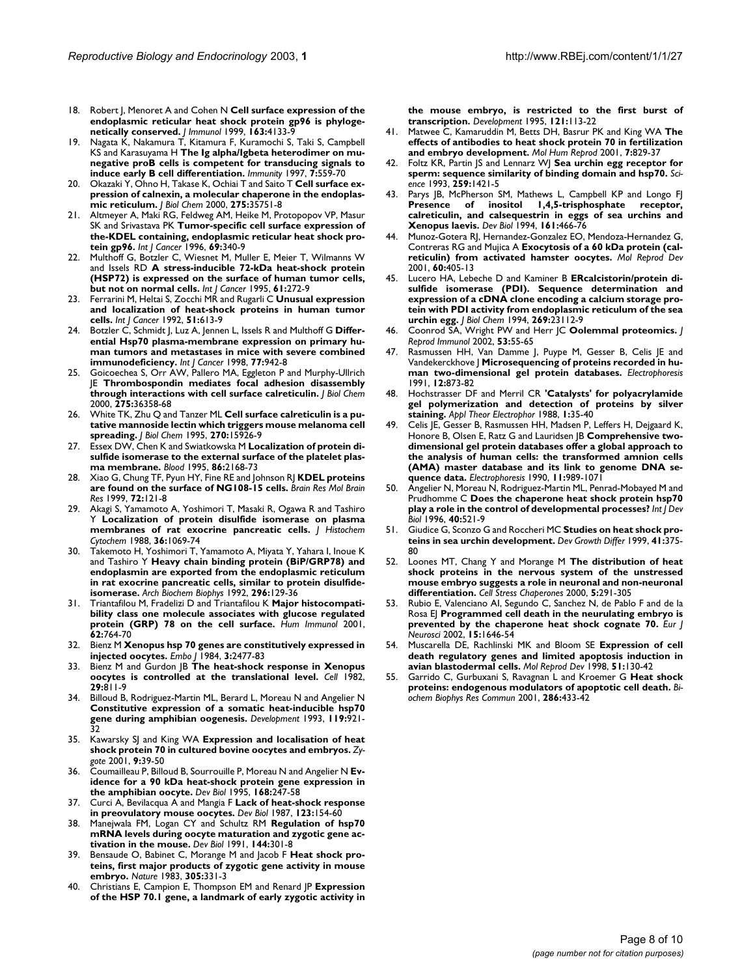- 18. Robert J, Menoret A and Cohen N **[Cell surface expression of the](http://www.ncbi.nlm.nih.gov/entrez/query.fcgi?cmd=Retrieve&db=PubMed&dopt=Abstract&list_uids=10510348) [endoplasmic reticular heat shock protein gp96 is phyloge](http://www.ncbi.nlm.nih.gov/entrez/query.fcgi?cmd=Retrieve&db=PubMed&dopt=Abstract&list_uids=10510348)[netically conserved.](http://www.ncbi.nlm.nih.gov/entrez/query.fcgi?cmd=Retrieve&db=PubMed&dopt=Abstract&list_uids=10510348)** *J Immunol* 1999, **163:**4133-9
- 19. Nagata K, Nakamura T, Kitamura F, Kuramochi S, Taki S, Campbell KS and Karasuyama H **[The Ig alpha/Igbeta heterodimer on mu](http://www.ncbi.nlm.nih.gov/entrez/query.fcgi?cmd=Retrieve&db=PubMed&dopt=Abstract&list_uids=9354476)[negative proB cells is competent for transducing signals to](http://www.ncbi.nlm.nih.gov/entrez/query.fcgi?cmd=Retrieve&db=PubMed&dopt=Abstract&list_uids=9354476) [induce early B cell differentiation.](http://www.ncbi.nlm.nih.gov/entrez/query.fcgi?cmd=Retrieve&db=PubMed&dopt=Abstract&list_uids=9354476)** *Immunity* 1997, **7:**559-70
- 20. Okazaki Y, Ohno H, Takase K, Ochiai T and Saito T **[Cell surface ex](http://www.ncbi.nlm.nih.gov/entrez/query.fcgi?cmd=Retrieve&db=PubMed&dopt=Abstract&list_uids=10956670)[pression of calnexin, a molecular chaperone in the endoplas](http://www.ncbi.nlm.nih.gov/entrez/query.fcgi?cmd=Retrieve&db=PubMed&dopt=Abstract&list_uids=10956670)[mic reticulum.](http://www.ncbi.nlm.nih.gov/entrez/query.fcgi?cmd=Retrieve&db=PubMed&dopt=Abstract&list_uids=10956670)** *J Biol Chem* 2000, **275:**35751-8
- 21. Altmeyer A, Maki RG, Feldweg AM, Heike M, Protopopov VP, Masur SK and Srivastava PK **[Tumor-specific cell surface expression of](http://www.ncbi.nlm.nih.gov/entrez/query.fcgi?cmd=Retrieve&db=PubMed&dopt=Abstract&list_uids=8797880) [the-KDEL containing, endoplasmic reticular heat shock pro](http://www.ncbi.nlm.nih.gov/entrez/query.fcgi?cmd=Retrieve&db=PubMed&dopt=Abstract&list_uids=8797880)[tein gp96.](http://www.ncbi.nlm.nih.gov/entrez/query.fcgi?cmd=Retrieve&db=PubMed&dopt=Abstract&list_uids=8797880)** *Int J Cancer* 1996, **69:**340-9
- 22. Multhoff G, Botzler C, Wiesnet M, Muller E, Meier T, Wilmanns W and Issels RD **[A stress-inducible 72-kDa heat-shock protein](http://www.ncbi.nlm.nih.gov/entrez/query.fcgi?cmd=Retrieve&db=PubMed&dopt=Abstract&list_uids=7705958) [\(HSP72\) is expressed on the surface of human tumor cells,](http://www.ncbi.nlm.nih.gov/entrez/query.fcgi?cmd=Retrieve&db=PubMed&dopt=Abstract&list_uids=7705958) [but not on normal cells.](http://www.ncbi.nlm.nih.gov/entrez/query.fcgi?cmd=Retrieve&db=PubMed&dopt=Abstract&list_uids=7705958)** *Int J Cancer* 1995, **61:**272-9
- 23. Ferrarini M, Heltai S, Zocchi MR and Rugarli C **[Unusual expression](http://www.ncbi.nlm.nih.gov/entrez/query.fcgi?cmd=Retrieve&db=PubMed&dopt=Abstract&list_uids=1601523) [and localization of heat-shock proteins in human tumor](http://www.ncbi.nlm.nih.gov/entrez/query.fcgi?cmd=Retrieve&db=PubMed&dopt=Abstract&list_uids=1601523) [cells.](http://www.ncbi.nlm.nih.gov/entrez/query.fcgi?cmd=Retrieve&db=PubMed&dopt=Abstract&list_uids=1601523)** *Int J Cancer* 1992, **51:**613-9
- 24. Botzler C, Schmidt J, Luz A, Jennen L, Issels R and Multhoff G **[Differ](http://www.ncbi.nlm.nih.gov/entrez/query.fcgi?cmd=Retrieve&db=PubMed&dopt=Abstract&list_uids=9714069)[ential Hsp70 plasma-membrane expression on primary hu](http://www.ncbi.nlm.nih.gov/entrez/query.fcgi?cmd=Retrieve&db=PubMed&dopt=Abstract&list_uids=9714069)man tumors and metastases in mice with severe combined [immunodeficiency.](http://www.ncbi.nlm.nih.gov/entrez/query.fcgi?cmd=Retrieve&db=PubMed&dopt=Abstract&list_uids=9714069)** *Int J Cancer* 1998, **77:**942-8
- 25. Goicoechea S, Orr AW, Pallero MA, Eggleton P and Murphy-Ullrich JE **[Thrombospondin mediates focal adhesion disassembly](http://www.ncbi.nlm.nih.gov/entrez/query.fcgi?cmd=Retrieve&db=PubMed&dopt=Abstract&list_uids=10964924) [through interactions with cell surface calreticulin.](http://www.ncbi.nlm.nih.gov/entrez/query.fcgi?cmd=Retrieve&db=PubMed&dopt=Abstract&list_uids=10964924)** *J Biol Chem* 2000, **275:**36358-68
- 26. White TK, Zhu Q and Tanzer ML **[Cell surface calreticulin is a pu](http://www.ncbi.nlm.nih.gov/entrez/query.fcgi?cmd=Retrieve&db=PubMed&dopt=Abstract&list_uids=7608143)[tative mannoside lectin which triggers mouse melanoma cell](http://www.ncbi.nlm.nih.gov/entrez/query.fcgi?cmd=Retrieve&db=PubMed&dopt=Abstract&list_uids=7608143) [spreading.](http://www.ncbi.nlm.nih.gov/entrez/query.fcgi?cmd=Retrieve&db=PubMed&dopt=Abstract&list_uids=7608143)** *J Biol Chem* 1995, **270:**15926-9
- 27. Essex DW, Chen K and Swiatkowska M **[Localization of protein di](http://www.ncbi.nlm.nih.gov/entrez/query.fcgi?cmd=Retrieve&db=PubMed&dopt=Abstract&list_uids=7662965)[sulfide isomerase to the external surface of the platelet plas](http://www.ncbi.nlm.nih.gov/entrez/query.fcgi?cmd=Retrieve&db=PubMed&dopt=Abstract&list_uids=7662965)[ma membrane.](http://www.ncbi.nlm.nih.gov/entrez/query.fcgi?cmd=Retrieve&db=PubMed&dopt=Abstract&list_uids=7662965)** *Blood* 1995, **86:**2168-73
- 28. Xiao G, Chung TF, Pyun HY, Fine RE and Johnson RJ **[KDEL proteins](http://www.ncbi.nlm.nih.gov/entrez/query.fcgi?cmd=Retrieve&db=PubMed&dopt=Abstract&list_uids=10529470) [are found on the surface of NG108-15 cells.](http://www.ncbi.nlm.nih.gov/entrez/query.fcgi?cmd=Retrieve&db=PubMed&dopt=Abstract&list_uids=10529470)** *Brain Res Mol Brain Res* 1999, **72:**121-8
- 29. Akagi S, Yamamoto A, Yoshimori T, Masaki R, Ogawa R and Tashiro Y **[Localization of protein disulfide isomerase on plasma](http://www.ncbi.nlm.nih.gov/entrez/query.fcgi?cmd=Retrieve&db=PubMed&dopt=Abstract&list_uids=3292644) [membranes of rat exocrine pancreatic cells.](http://www.ncbi.nlm.nih.gov/entrez/query.fcgi?cmd=Retrieve&db=PubMed&dopt=Abstract&list_uids=3292644)** *J Histochem Cytochem* 1988, **36:**1069-74
- 30. Takemoto H, Yoshimori T, Yamamoto A, Miyata Y, Yahara I, Inoue K and Tashiro Y **[Heavy chain binding protein \(BiP/GRP78\) and](http://www.ncbi.nlm.nih.gov/entrez/query.fcgi?cmd=Retrieve&db=PubMed&dopt=Abstract&list_uids=1318687) [endoplasmin are exported from the endoplasmic reticulum](http://www.ncbi.nlm.nih.gov/entrez/query.fcgi?cmd=Retrieve&db=PubMed&dopt=Abstract&list_uids=1318687) in rat exocrine pancreatic cells, similar to protein disulfide[isomerase.](http://www.ncbi.nlm.nih.gov/entrez/query.fcgi?cmd=Retrieve&db=PubMed&dopt=Abstract&list_uids=1318687)** *Arch Biochem Biophys* 1992, **296:**129-36
- 31. Triantafilou M, Fradelizi D and Triantafilou K **[Major histocompati](http://www.ncbi.nlm.nih.gov/entrez/query.fcgi?cmd=Retrieve&db=PubMed&dopt=Abstract&list_uids=11476899)[bility class one molecule associates with glucose regulated](http://www.ncbi.nlm.nih.gov/entrez/query.fcgi?cmd=Retrieve&db=PubMed&dopt=Abstract&list_uids=11476899) [protein \(GRP\) 78 on the cell surface.](http://www.ncbi.nlm.nih.gov/entrez/query.fcgi?cmd=Retrieve&db=PubMed&dopt=Abstract&list_uids=11476899)** *Hum Immunol* 2001, **62:**764-70
- 32. Bienz M **[Xenopus hsp 70 genes are constitutively expressed in](http://www.ncbi.nlm.nih.gov/entrez/query.fcgi?cmd=Retrieve&db=PubMed&dopt=Abstract&list_uids=6510409) [injected oocytes.](http://www.ncbi.nlm.nih.gov/entrez/query.fcgi?cmd=Retrieve&db=PubMed&dopt=Abstract&list_uids=6510409)** *Embo J* 1984, **3:**2477-83
- 33. Bienz M and Gurdon JB **[The heat-shock response in Xenopus](http://www.ncbi.nlm.nih.gov/entrez/query.fcgi?cmd=Retrieve&db=PubMed&dopt=Abstract&list_uids=6891290) [oocytes is controlled at the translational level.](http://www.ncbi.nlm.nih.gov/entrez/query.fcgi?cmd=Retrieve&db=PubMed&dopt=Abstract&list_uids=6891290)** *Cell* 1982, **29:**811-9
- 34. Billoud B, Rodriguez-Martin ML, Berard L, Moreau N and Angelier N **[Constitutive expression of a somatic heat-inducible hsp70](http://www.ncbi.nlm.nih.gov/entrez/query.fcgi?cmd=Retrieve&db=PubMed&dopt=Abstract&list_uids=8187647) [gene during amphibian oogenesis.](http://www.ncbi.nlm.nih.gov/entrez/query.fcgi?cmd=Retrieve&db=PubMed&dopt=Abstract&list_uids=8187647)** *Development* 1993, **119:**921- 32
- 35. Kawarsky SJ and King WA **[Expression and localisation of heat](http://www.ncbi.nlm.nih.gov/entrez/query.fcgi?cmd=Retrieve&db=PubMed&dopt=Abstract&list_uids=11273032) [shock protein 70 in cultured bovine oocytes and embryos.](http://www.ncbi.nlm.nih.gov/entrez/query.fcgi?cmd=Retrieve&db=PubMed&dopt=Abstract&list_uids=11273032)** *Zygote* 2001, **9:**39-50
- 36. Coumailleau P, Billoud B, Sourrouille P, Moreau N and Angelier N **[Ev](http://www.ncbi.nlm.nih.gov/entrez/query.fcgi?cmd=Retrieve&db=PubMed&dopt=Abstract&list_uids=7729567)[idence for a 90 kDa heat-shock protein gene expression in](http://www.ncbi.nlm.nih.gov/entrez/query.fcgi?cmd=Retrieve&db=PubMed&dopt=Abstract&list_uids=7729567) [the amphibian oocyte.](http://www.ncbi.nlm.nih.gov/entrez/query.fcgi?cmd=Retrieve&db=PubMed&dopt=Abstract&list_uids=7729567)** *Dev Biol* 1995, **168:**247-58
- 37. Curci A, Bevilacqua A and Mangia F **[Lack of heat-shock response](http://www.ncbi.nlm.nih.gov/entrez/query.fcgi?cmd=Retrieve&db=PubMed&dopt=Abstract&list_uids=3622927) [in preovulatory mouse oocytes.](http://www.ncbi.nlm.nih.gov/entrez/query.fcgi?cmd=Retrieve&db=PubMed&dopt=Abstract&list_uids=3622927)** *Dev Biol* 1987, **123:**154-60
- 38. Manejwala FM, Logan CY and Schultz RM **[Regulation of hsp70](http://www.ncbi.nlm.nih.gov/entrez/query.fcgi?cmd=Retrieve&db=PubMed&dopt=Abstract&list_uids=2010034) [mRNA levels during oocyte maturation and zygotic gene ac](http://www.ncbi.nlm.nih.gov/entrez/query.fcgi?cmd=Retrieve&db=PubMed&dopt=Abstract&list_uids=2010034)[tivation in the mouse.](http://www.ncbi.nlm.nih.gov/entrez/query.fcgi?cmd=Retrieve&db=PubMed&dopt=Abstract&list_uids=2010034)** *Dev Biol* 1991, **144:**301-8
- 39. Bensaude O, Babinet C, Morange M and Jacob F **[Heat shock pro](http://www.ncbi.nlm.nih.gov/entrez/query.fcgi?cmd=Retrieve&db=PubMed&dopt=Abstract&list_uids=6684733)[teins, first major products of zygotic gene activity in mouse](http://www.ncbi.nlm.nih.gov/entrez/query.fcgi?cmd=Retrieve&db=PubMed&dopt=Abstract&list_uids=6684733) [embryo.](http://www.ncbi.nlm.nih.gov/entrez/query.fcgi?cmd=Retrieve&db=PubMed&dopt=Abstract&list_uids=6684733)** *Nature* 1983, **305:**331-3
- 40. Christians E, Campion E, Thompson EM and Renard JP **[Expression](http://www.ncbi.nlm.nih.gov/entrez/query.fcgi?cmd=Retrieve&db=PubMed&dopt=Abstract&list_uids=7867493) [of the HSP 70.1 gene, a landmark of early zygotic activity in](http://www.ncbi.nlm.nih.gov/entrez/query.fcgi?cmd=Retrieve&db=PubMed&dopt=Abstract&list_uids=7867493)**

**[the mouse embryo, is restricted to the first burst of](http://www.ncbi.nlm.nih.gov/entrez/query.fcgi?cmd=Retrieve&db=PubMed&dopt=Abstract&list_uids=7867493) [transcription.](http://www.ncbi.nlm.nih.gov/entrez/query.fcgi?cmd=Retrieve&db=PubMed&dopt=Abstract&list_uids=7867493)** *Development* 1995, **121:**113-22

- 41. Matwee C, Kamaruddin M, Betts DH, Basrur PK and King WA **[The](http://www.ncbi.nlm.nih.gov/entrez/query.fcgi?cmd=Retrieve&db=PubMed&dopt=Abstract&list_uids=11517289) [effects of antibodies to heat shock protein 70 in fertilization](http://www.ncbi.nlm.nih.gov/entrez/query.fcgi?cmd=Retrieve&db=PubMed&dopt=Abstract&list_uids=11517289) [and embryo development.](http://www.ncbi.nlm.nih.gov/entrez/query.fcgi?cmd=Retrieve&db=PubMed&dopt=Abstract&list_uids=11517289)** *Mol Hum Reprod* 2001, **7:**829-37
- 42. Foltz KR, Partin JS and Lennarz WJ **[Sea urchin egg receptor for](http://www.ncbi.nlm.nih.gov/entrez/query.fcgi?cmd=Retrieve&db=PubMed&dopt=Abstract&list_uids=8383878) [sperm: sequence similarity of binding domain and hsp70.](http://www.ncbi.nlm.nih.gov/entrez/query.fcgi?cmd=Retrieve&db=PubMed&dopt=Abstract&list_uids=8383878)** *Science* 1993, **259:**1421-5
- 43. Parys JB, McPherson SM, Mathews L, Campbell KP and Longo FJ **Presence of inositol 1,4,5-trisphosphate receptor, [calreticulin, and calsequestrin in eggs of sea urchins and](http://www.ncbi.nlm.nih.gov/entrez/query.fcgi?cmd=Retrieve&db=PubMed&dopt=Abstract&list_uids=8313995) [Xenopus laevis.](http://www.ncbi.nlm.nih.gov/entrez/query.fcgi?cmd=Retrieve&db=PubMed&dopt=Abstract&list_uids=8313995)** *Dev Biol* 1994, **161:**466-76
- 44. Munoz-Gotera RJ, Hernandez-Gonzalez EO, Mendoza-Hernandez G, Contreras RG and Mujica A **[Exocytosis of a 60 kDa protein \(cal](http://www.ncbi.nlm.nih.gov/entrez/query.fcgi?cmd=Retrieve&db=PubMed&dopt=Abstract&list_uids=11599052)[reticulin\) from activated hamster oocytes.](http://www.ncbi.nlm.nih.gov/entrez/query.fcgi?cmd=Retrieve&db=PubMed&dopt=Abstract&list_uids=11599052)** *Mol Reprod Dev* 2001, **60:**405-13
- 45. Lucero HA, Lebeche D and Kaminer B **[ERcalcistorin/protein di](http://www.ncbi.nlm.nih.gov/entrez/query.fcgi?cmd=Retrieve&db=PubMed&dopt=Abstract&list_uids=8083214)sulfide isomerase (PDI). Sequence determination and [expression of a cDNA clone encoding a calcium storage pro](http://www.ncbi.nlm.nih.gov/entrez/query.fcgi?cmd=Retrieve&db=PubMed&dopt=Abstract&list_uids=8083214)tein with PDI activity from endoplasmic reticulum of the sea [urchin egg.](http://www.ncbi.nlm.nih.gov/entrez/query.fcgi?cmd=Retrieve&db=PubMed&dopt=Abstract&list_uids=8083214)** *J Biol Chem* 1994, **269:**23112-9
- 46. Coonrod SA, Wright PW and Herr JC **[Oolemmal proteomics.](http://www.ncbi.nlm.nih.gov/entrez/query.fcgi?cmd=Retrieve&db=PubMed&dopt=Abstract&list_uids=11730904)** *J Reprod Immunol* 2002, **53:**55-65
- 47. Rasmussen HH, Van Damme J, Puype M, Gesser B, Celis JE and Vandekerckhove J **[Microsequencing of proteins recorded in hu](http://www.ncbi.nlm.nih.gov/entrez/query.fcgi?cmd=Retrieve&db=PubMed&dopt=Abstract&list_uids=1794343)[man two-dimensional gel protein databases.](http://www.ncbi.nlm.nih.gov/entrez/query.fcgi?cmd=Retrieve&db=PubMed&dopt=Abstract&list_uids=1794343)** *Electrophoresis* 1991, **12:**873-82
- 48. Hochstrasser DF and Merril CR **['Catalysts' for polyacrylamide](http://www.ncbi.nlm.nih.gov/entrez/query.fcgi?cmd=Retrieve&db=PubMed&dopt=Abstract&list_uids=2484987) [gel polymerization and detection of proteins by silver](http://www.ncbi.nlm.nih.gov/entrez/query.fcgi?cmd=Retrieve&db=PubMed&dopt=Abstract&list_uids=2484987) [staining.](http://www.ncbi.nlm.nih.gov/entrez/query.fcgi?cmd=Retrieve&db=PubMed&dopt=Abstract&list_uids=2484987)** *Appl Theor Electrophor* 1988, **1:**35-40
- 49. Celis JE, Gesser B, Rasmussen HH, Madsen P, Leffers H, Dejgaard K, Honore B, Olsen E, Ratz G and Lauridsen JB **[Comprehensive two](http://www.ncbi.nlm.nih.gov/entrez/query.fcgi?cmd=Retrieve&db=PubMed&dopt=Abstract&list_uids=2090460)[dimensional gel protein databases offer a global approach to](http://www.ncbi.nlm.nih.gov/entrez/query.fcgi?cmd=Retrieve&db=PubMed&dopt=Abstract&list_uids=2090460) the analysis of human cells: the transformed amnion cells (AMA) master database and its link to genome DNA se[quence data.](http://www.ncbi.nlm.nih.gov/entrez/query.fcgi?cmd=Retrieve&db=PubMed&dopt=Abstract&list_uids=2090460)** *Electrophoresis* 1990, **11:**989-1071
- 50. Angelier N, Moreau N, Rodriguez-Martin ML, Penrad-Mobayed M and Prudhomme C **[Does the chaperone heat shock protein hsp70](http://www.ncbi.nlm.nih.gov/entrez/query.fcgi?cmd=Retrieve&db=PubMed&dopt=Abstract&list_uids=8840184) [play a role in the control of developmental processes?](http://www.ncbi.nlm.nih.gov/entrez/query.fcgi?cmd=Retrieve&db=PubMed&dopt=Abstract&list_uids=8840184)** *Int J Dev Biol* 1996, **40:**521-9
- Giudice G, Sconzo G and Roccheri MC [Studies on heat shock pro](http://www.ncbi.nlm.nih.gov/entrez/query.fcgi?cmd=Retrieve&db=PubMed&dopt=Abstract&list_uids=10466924)**[teins in sea urchin development.](http://www.ncbi.nlm.nih.gov/entrez/query.fcgi?cmd=Retrieve&db=PubMed&dopt=Abstract&list_uids=10466924)** *Dev Growth Differ* 1999, **41:**375- 80
- 52. Loones MT, Chang Y and Morange M **[The distribution of heat](http://www.ncbi.nlm.nih.gov/entrez/query.fcgi?cmd=Retrieve&db=PubMed&dopt=Abstract&list_uids=11048652) [shock proteins in the nervous system of the unstressed](http://www.ncbi.nlm.nih.gov/entrez/query.fcgi?cmd=Retrieve&db=PubMed&dopt=Abstract&list_uids=11048652) mouse embryo suggests a role in neuronal and non-neuronal [differentiation.](http://www.ncbi.nlm.nih.gov/entrez/query.fcgi?cmd=Retrieve&db=PubMed&dopt=Abstract&list_uids=11048652)** *Cell Stress Chaperones* 2000, **5:**291-305
- Rubio E, Valenciano AI, Segundo C, Sanchez N, de Pablo F and de la Rosa EJ **[Programmed cell death in the neurulating embryo is](http://www.ncbi.nlm.nih.gov/entrez/query.fcgi?cmd=Retrieve&db=PubMed&dopt=Abstract&list_uids=12059972) [prevented by the chaperone heat shock cognate 70.](http://www.ncbi.nlm.nih.gov/entrez/query.fcgi?cmd=Retrieve&db=PubMed&dopt=Abstract&list_uids=12059972)** *Eur J Neurosci* 2002, **15:**1646-54
- 54. Muscarella DE, Rachlinski MK and Bloom SE **[Expression of cell](http://www.ncbi.nlm.nih.gov/entrez/query.fcgi?cmd=Retrieve&db=PubMed&dopt=Abstract&list_uids=9740320) [death regulatory genes and limited apoptosis induction in](http://www.ncbi.nlm.nih.gov/entrez/query.fcgi?cmd=Retrieve&db=PubMed&dopt=Abstract&list_uids=9740320) [avian blastodermal cells.](http://www.ncbi.nlm.nih.gov/entrez/query.fcgi?cmd=Retrieve&db=PubMed&dopt=Abstract&list_uids=9740320)** *Mol Reprod Dev* 1998, **51:**130-42
- 55. Garrido C, Gurbuxani S, Ravagnan L and Kroemer G **[Heat shock](http://www.ncbi.nlm.nih.gov/entrez/query.fcgi?cmd=Retrieve&db=PubMed&dopt=Abstract&list_uids=11511077) [proteins: endogenous modulators of apoptotic cell death.](http://www.ncbi.nlm.nih.gov/entrez/query.fcgi?cmd=Retrieve&db=PubMed&dopt=Abstract&list_uids=11511077)** *Biochem Biophys Res Commun* 2001, **286:**433-42